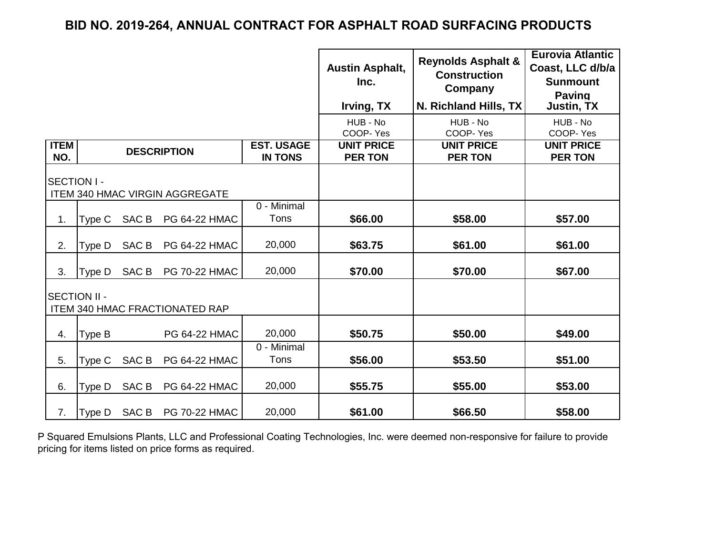|                                                              |        |                  |                                       |                                     | <b>Austin Asphalt,</b><br>Inc.<br>Irving, TX | <b>Reynolds Asphalt &amp;</b><br><b>Construction</b><br>Company<br>N. Richland Hills, TX | <b>Eurovia Atlantic</b><br>Coast, LLC d/b/a<br><b>Sunmount</b><br><b>Paving</b><br>Justin, TX |
|--------------------------------------------------------------|--------|------------------|---------------------------------------|-------------------------------------|----------------------------------------------|------------------------------------------------------------------------------------------|-----------------------------------------------------------------------------------------------|
|                                                              |        |                  |                                       |                                     | HUB - No<br>COOP-Yes                         | HUB - No<br>COOP-Yes                                                                     | HUB - No<br>COOP-Yes                                                                          |
| <b>ITEM</b><br>NO.                                           |        |                  | <b>DESCRIPTION</b>                    | <b>EST. USAGE</b><br><b>IN TONS</b> | <b>UNIT PRICE</b><br><b>PER TON</b>          | <b>UNIT PRICE</b><br><b>PER TON</b>                                                      | <b>UNIT PRICE</b><br><b>PER TON</b>                                                           |
| SECTION I -                                                  |        |                  | <b>ITEM 340 HMAC VIRGIN AGGREGATE</b> |                                     |                                              |                                                                                          |                                                                                               |
| 1.                                                           | Type C | SAC <sub>B</sub> | <b>PG 64-22 HMAC</b>                  | 0 - Minimal<br>Tons                 | \$66.00                                      | \$58.00                                                                                  | \$57.00                                                                                       |
| 2.                                                           | Type D | SAC B            | <b>PG 64-22 HMAC</b>                  | 20,000                              | \$63.75                                      | \$61.00                                                                                  | \$61.00                                                                                       |
| 3.                                                           | Type D | SAC B            | <b>PG 70-22 HMAC</b>                  | 20,000                              | \$70.00                                      | \$70.00                                                                                  | \$67.00                                                                                       |
| <b>SECTION II -</b><br><b>ITEM 340 HMAC FRACTIONATED RAP</b> |        |                  |                                       |                                     |                                              |                                                                                          |                                                                                               |
| 4.                                                           | Type B |                  | PG 64-22 HMAC                         | 20,000                              | \$50.75                                      | \$50.00                                                                                  | \$49.00                                                                                       |
| 5.                                                           | Type C | SAC B            | <b>PG 64-22 HMAC</b>                  | 0 - Minimal<br>Tons                 | \$56.00                                      | \$53.50                                                                                  | \$51.00                                                                                       |
| 6.                                                           | Type D | SAC B            | <b>PG 64-22 HMAC</b>                  | 20,000                              | \$55.75                                      | \$55.00                                                                                  | \$53.00                                                                                       |
| 7.                                                           | Type D |                  | SAC B PG 70-22 HMAC                   | 20,000                              | \$61.00                                      | \$66.50                                                                                  | \$58.00                                                                                       |

P Squared Emulsions Plants, LLC and Professional Coating Technologies, Inc. were deemed non-responsive for failure to provide pricing for items listed on price forms as required.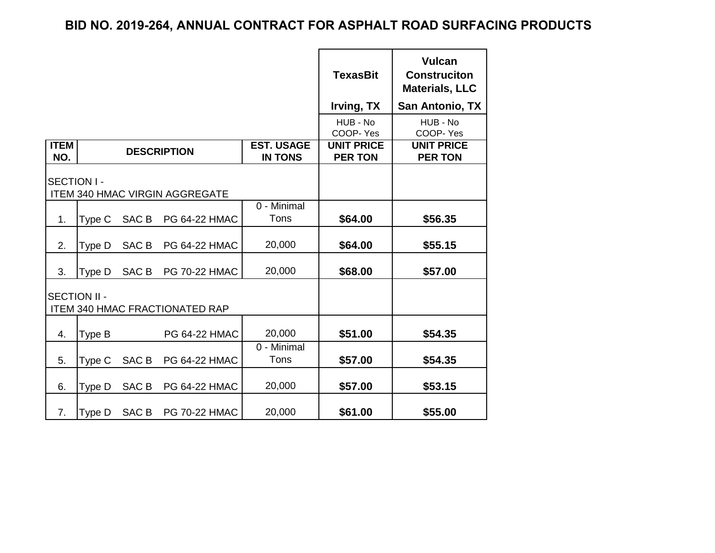|                                                              |        |                  |                                       |                                     | <b>TexasBit</b><br>Irving, TX       | <b>Vulcan</b><br><b>Construciton</b><br><b>Materials, LLC</b><br>San Antonio, TX |
|--------------------------------------------------------------|--------|------------------|---------------------------------------|-------------------------------------|-------------------------------------|----------------------------------------------------------------------------------|
|                                                              |        |                  |                                       |                                     | HUB - No<br>COOP-Yes                | HUB - No<br>COOP-Yes                                                             |
| <b>ITEM</b><br>NO.                                           |        |                  | <b>DESCRIPTION</b>                    | <b>EST. USAGE</b><br><b>IN TONS</b> | <b>UNIT PRICE</b><br><b>PER TON</b> | <b>UNIT PRICE</b><br><b>PER TON</b>                                              |
| <b>SECTION I-</b>                                            |        |                  | <b>ITEM 340 HMAC VIRGIN AGGREGATE</b> |                                     |                                     |                                                                                  |
| 1.                                                           | Type C | SAC <sub>B</sub> | PG 64-22 HMAC                         | 0 - Minimal<br>Tons                 | \$64.00                             | \$56.35                                                                          |
| 2.                                                           | Type D | SAC <sub>B</sub> | PG 64-22 HMAC                         | 20,000                              | \$64.00                             | \$55.15                                                                          |
| 3.                                                           | Type D | SAC <sub>B</sub> | <b>PG 70-22 HMAC</b>                  | 20,000                              | \$68.00                             | \$57.00                                                                          |
| <b>SECTION II -</b><br><b>ITEM 340 HMAC FRACTIONATED RAP</b> |        |                  |                                       |                                     |                                     |                                                                                  |
| 4.                                                           | Type B |                  | <b>PG 64-22 HMAC</b>                  | 20,000                              | \$51.00                             | \$54.35                                                                          |
| 5.                                                           | Type C | SAC <sub>B</sub> | PG 64-22 HMAC                         | 0 - Minimal<br>Tons                 | \$57.00                             | \$54.35                                                                          |
| 6.                                                           | Type D | SAC <sub>B</sub> | PG 64-22 HMAC                         | 20,000                              | \$57.00                             | \$53.15                                                                          |
| 7.                                                           | Type D | SAC <sub>B</sub> | <b>PG 70-22 HMAC</b>                  | 20,000                              | \$61.00                             | \$55.00                                                                          |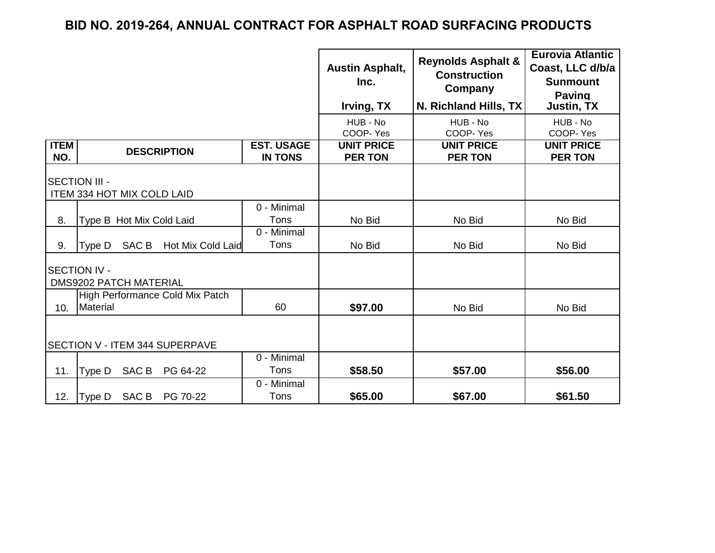|                                |                                                      |                                     | <b>Austin Asphalt,</b><br>Inc.<br>Irving, TX | <b>Reynolds Asphalt &amp;</b><br><b>Construction</b><br>Company<br>N. Richland Hills, TX | <b>Eurovia Atlantic</b><br>Coast, LLC d/b/a<br><b>Sunmount</b><br><b>Paving</b><br><b>Justin, TX</b> |
|--------------------------------|------------------------------------------------------|-------------------------------------|----------------------------------------------|------------------------------------------------------------------------------------------|------------------------------------------------------------------------------------------------------|
|                                |                                                      |                                     | HUB - No<br>COOP-Yes                         | HUB - No<br>COOP-Yes                                                                     | HUB - No<br>COOP-Yes                                                                                 |
| <b>ITEM</b><br>NO.             | <b>DESCRIPTION</b>                                   | <b>EST. USAGE</b><br><b>IN TONS</b> | <b>UNIT PRICE</b><br><b>PER TON</b>          | <b>UNIT PRICE</b><br><b>PER TON</b>                                                      | <b>UNIT PRICE</b><br><b>PER TON</b>                                                                  |
|                                | <b>SECTION III -</b><br>ITEM 334 HOT MIX COLD LAID   |                                     |                                              |                                                                                          |                                                                                                      |
| 8.                             | Type B Hot Mix Cold Laid                             | 0 - Minimal<br>Tons                 | No Bid                                       | No Bid                                                                                   | No Bid                                                                                               |
| 9.                             | SAC B<br>Hot Mix Cold Laid<br>Type D                 | 0 - Minimal<br>Tons                 | No Bid                                       | No Bid                                                                                   | No Bid                                                                                               |
|                                | <b>SECTION IV -</b><br><b>DMS9202 PATCH MATERIAL</b> |                                     |                                              |                                                                                          |                                                                                                      |
| 10.                            | High Performance Cold Mix Patch<br>Material          | 60                                  | \$97.00                                      | No Bid                                                                                   | No Bid                                                                                               |
| SECTION V - ITEM 344 SUPERPAVE |                                                      |                                     |                                              |                                                                                          |                                                                                                      |
| 11.                            | Type D SAC B<br>PG 64-22                             | 0 - Minimal<br>Tons                 | \$58.50                                      | \$57.00                                                                                  | \$56.00                                                                                              |
| 12.                            | Type D SAC B PG 70-22                                | 0 - Minimal<br>Tons                 | \$65.00                                      | \$67.00                                                                                  | \$61.50                                                                                              |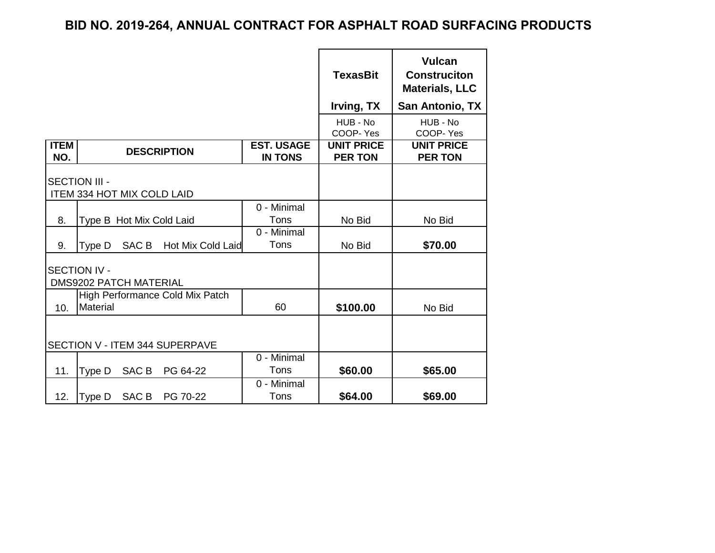|                    |                                                      |                                     | <b>TexasBit</b><br>Irving, TX       | <b>Vulcan</b><br><b>Construciton</b><br><b>Materials, LLC</b><br>San Antonio, TX |
|--------------------|------------------------------------------------------|-------------------------------------|-------------------------------------|----------------------------------------------------------------------------------|
|                    |                                                      |                                     | HUB - No<br>COOP-Yes                | HUB - No<br>COOP-Yes                                                             |
| <b>ITEM</b><br>NO. | <b>DESCRIPTION</b>                                   | <b>EST. USAGE</b><br><b>IN TONS</b> | <b>UNIT PRICE</b><br><b>PER TON</b> | <b>UNIT PRICE</b><br><b>PER TON</b>                                              |
|                    | <b>SECTION III -</b><br>ITEM 334 HOT MIX COLD LAID   |                                     |                                     |                                                                                  |
| 8.                 | Type B Hot Mix Cold Laid                             | 0 - Minimal<br>Tons                 | No Bid                              | No Bid                                                                           |
| 9.                 | SAC B<br>Hot Mix Cold Laid<br>Type D                 | 0 - Minimal<br>Tons                 | No Bid                              | \$70.00                                                                          |
|                    | <b>SECTION IV -</b><br><b>DMS9202 PATCH MATERIAL</b> |                                     |                                     |                                                                                  |
| 10.                | High Performance Cold Mix Patch<br>Material          | 60                                  | \$100.00                            | No Bid                                                                           |
|                    | <b>SECTION V - ITEM 344 SUPERPAVE</b>                |                                     |                                     |                                                                                  |
| 11.                | SAC B<br>PG 64-22<br>Type D                          | 0 - Minimal<br>Tons                 | \$60.00                             | \$65.00                                                                          |
| 12.                | SAC B<br>Type D<br>PG 70-22                          | 0 - Minimal<br>Tons                 | \$64.00                             | \$69.00                                                                          |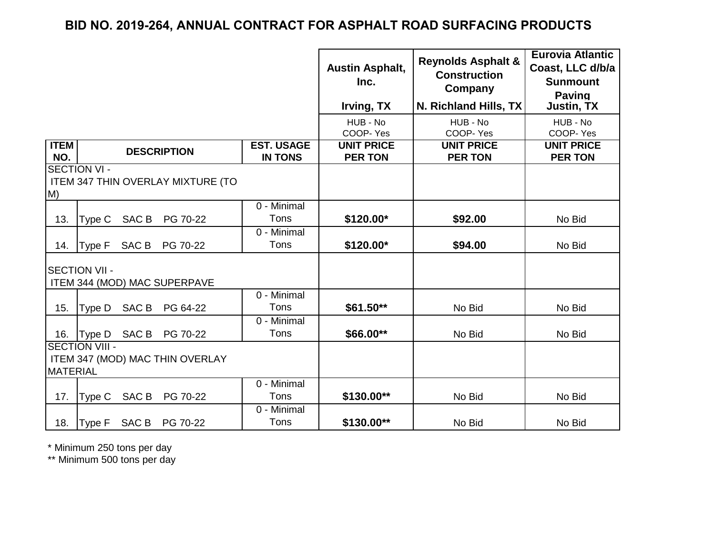|                    |                       |       |                                          |                                     | <b>Austin Asphalt,</b><br>Inc.<br>Irving, TX | <b>Reynolds Asphalt &amp;</b><br><b>Construction</b><br>Company<br>N. Richland Hills, TX | <b>Eurovia Atlantic</b><br>Coast, LLC d/b/a<br><b>Sunmount</b><br><b>Paving</b><br><b>Justin, TX</b> |
|--------------------|-----------------------|-------|------------------------------------------|-------------------------------------|----------------------------------------------|------------------------------------------------------------------------------------------|------------------------------------------------------------------------------------------------------|
|                    |                       |       |                                          |                                     | HUB - No<br>COOP-Yes                         | HUB - No<br>COOP-Yes                                                                     | HUB - No<br>COOP-Yes                                                                                 |
| <b>ITEM</b><br>NO. |                       |       | <b>DESCRIPTION</b>                       | <b>EST. USAGE</b><br><b>IN TONS</b> | <b>UNIT PRICE</b><br><b>PER TON</b>          | <b>UNIT PRICE</b><br><b>PER TON</b>                                                      | <b>UNIT PRICE</b><br><b>PER TON</b>                                                                  |
| M)                 | <b>SECTION VI -</b>   |       | <b>ITEM 347 THIN OVERLAY MIXTURE (TO</b> |                                     |                                              |                                                                                          |                                                                                                      |
| 13.                | Type C                | SAC B | PG 70-22                                 | $\overline{0}$ - Minimal<br>Tons    | \$120.00*                                    | \$92.00                                                                                  | No Bid                                                                                               |
| 14.                | Type F                | SAC B | PG 70-22                                 | 0 - Minimal<br>Tons                 | \$120.00*                                    | \$94.00                                                                                  | No Bid                                                                                               |
|                    | <b>SECTION VII -</b>  |       | ITEM 344 (MOD) MAC SUPERPAVE             |                                     |                                              |                                                                                          |                                                                                                      |
| 15.                |                       |       | Type D SAC B PG 64-22                    | 0 - Minimal<br>Tons                 | $$61.50**$                                   | No Bid                                                                                   | No Bid                                                                                               |
| 16.                | Type D SAC B          |       | PG 70-22                                 | 0 - Minimal<br>Tons                 | \$66.00**                                    | No Bid                                                                                   | No Bid                                                                                               |
| <b>MATERIAL</b>    | <b>SECTION VIII -</b> |       | ITEM 347 (MOD) MAC THIN OVERLAY          |                                     |                                              |                                                                                          |                                                                                                      |
| 17.                | Type C                | SAC B | PG 70-22                                 | 0 - Minimal<br>Tons                 | \$130.00**                                   | No Bid                                                                                   | No Bid                                                                                               |
| 18.                | Type F                |       | SAC B PG 70-22                           | 0 - Minimal<br>Tons                 | \$130.00**                                   | No Bid                                                                                   | No Bid                                                                                               |

\* Minimum 250 tons per day

\*\* Minimum 500 tons per day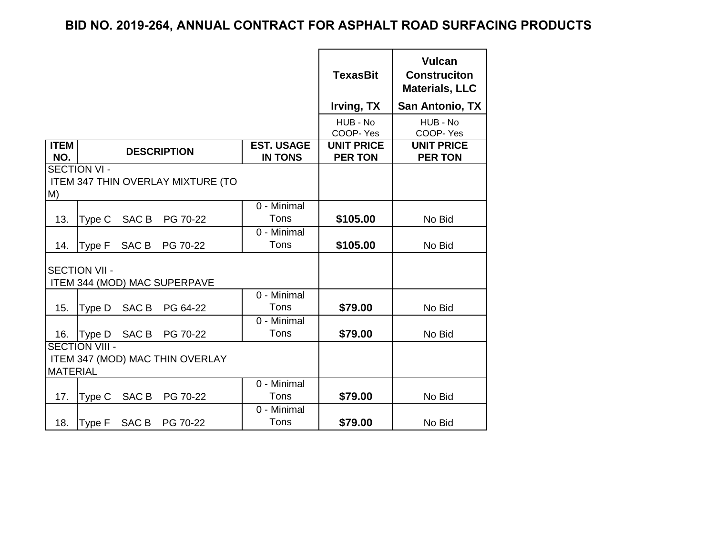|                    |                       |                  |                                          |                                     | <b>TexasBit</b><br>Irving, TX       | <b>Vulcan</b><br><b>Construciton</b><br><b>Materials, LLC</b><br><b>San Antonio, TX</b> |
|--------------------|-----------------------|------------------|------------------------------------------|-------------------------------------|-------------------------------------|-----------------------------------------------------------------------------------------|
|                    |                       |                  |                                          |                                     | HUB - No<br>COOP-Yes                | HUB - No<br>COOP-Yes                                                                    |
| <b>ITEM</b><br>NO. |                       |                  | <b>DESCRIPTION</b>                       | <b>EST. USAGE</b><br><b>IN TONS</b> | <b>UNIT PRICE</b><br><b>PER TON</b> | <b>UNIT PRICE</b><br><b>PER TON</b>                                                     |
| M)                 | <b>SECTION VI -</b>   |                  | <b>ITEM 347 THIN OVERLAY MIXTURE (TO</b> |                                     |                                     |                                                                                         |
| 13.                | Type C                | SAC B            | PG 70-22                                 | 0 - Minimal<br>Tons                 | \$105.00                            | No Bid                                                                                  |
| 14.                | Type F                | SAC <sub>B</sub> | PG 70-22                                 | 0 - Minimal<br>Tons                 | \$105.00                            | No Bid                                                                                  |
|                    | <b>SECTION VII -</b>  |                  | ITEM 344 (MOD) MAC SUPERPAVE             |                                     |                                     |                                                                                         |
| 15.                | Type D                | SAC <sub>B</sub> | PG 64-22                                 | 0 - Minimal<br>Tons                 | \$79.00                             | No Bid                                                                                  |
| 16.                | Type D                | SAC B            | PG 70-22                                 | 0 - Minimal<br>Tons                 | \$79.00                             | No Bid                                                                                  |
| <b>MATERIAL</b>    | <b>SECTION VIII -</b> |                  | ITEM 347 (MOD) MAC THIN OVERLAY          |                                     |                                     |                                                                                         |
| 17.                | Type C                | SAC B            | PG 70-22                                 | 0 - Minimal<br>Tons                 | \$79.00                             | No Bid                                                                                  |
| 18.                | Type F                | SAC B            | PG 70-22                                 | 0 - Minimal<br>Tons                 | \$79.00                             | No Bid                                                                                  |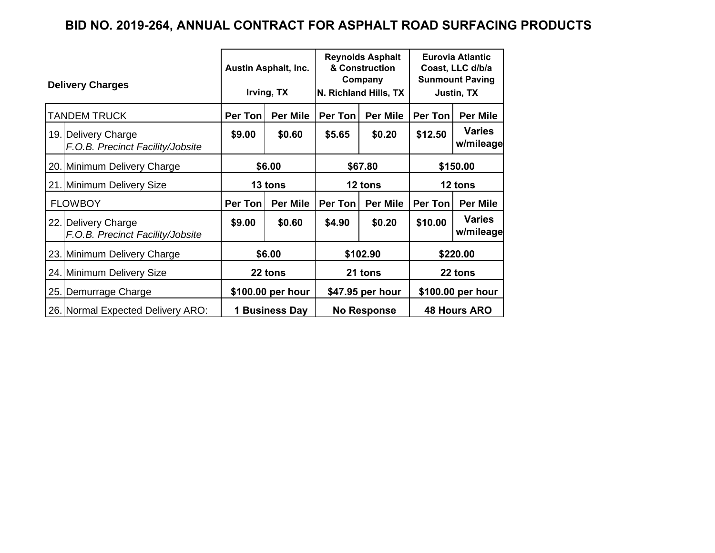|     |                                                         |         | <b>Austin Asphalt, Inc.</b> |                    | <b>Reynolds Asphalt</b><br>& Construction<br>Company | <b>Eurovia Atlantic</b><br>Coast, LLC d/b/a<br><b>Sunmount Paving</b> |                            |  |
|-----|---------------------------------------------------------|---------|-----------------------------|--------------------|------------------------------------------------------|-----------------------------------------------------------------------|----------------------------|--|
|     | <b>Delivery Charges</b>                                 |         | Irving, TX                  |                    | N. Richland Hills, TX                                |                                                                       | Justin, TX                 |  |
|     | TANDEM TRUCK                                            | Per Ton | <b>Per Mile</b>             | Per Ton            | <b>Per Mile</b>                                      | <b>Per Ton</b>                                                        | Per Mile                   |  |
|     | 19. Delivery Charge<br>F.O.B. Precinct Facility/Jobsite | \$9.00  | \$0.60                      | \$5.65             | \$0.20                                               | \$12.50                                                               | <b>Varies</b><br>w/mileage |  |
|     | 20. Minimum Delivery Charge                             |         | \$6.00                      |                    | \$67.80                                              |                                                                       | \$150.00                   |  |
|     | 21. Minimum Delivery Size                               | 13 tons |                             | 12 tons            |                                                      | 12 tons                                                               |                            |  |
|     | <b>FLOWBOY</b>                                          | Per Ton | <b>Per Mile</b>             | Per Ton            | <b>Per Mile</b>                                      | Per Ton                                                               | <b>Per Mile</b>            |  |
|     | 22. Delivery Charge<br>F.O.B. Precinct Facility/Jobsite | \$9.00  | \$0.60                      | \$4.90             | \$0.20                                               | \$10.00                                                               | <b>Varies</b><br>w/mileage |  |
|     | 23. Minimum Delivery Charge                             |         | \$6.00                      |                    | \$102.90                                             |                                                                       | \$220.00                   |  |
|     | 24. Minimum Delivery Size                               | 22 tons |                             | 21 tons            |                                                      | 22 tons                                                               |                            |  |
| 25. | Demurrage Charge                                        |         | \$100.00 per hour           |                    | \$47.95 per hour                                     |                                                                       | \$100.00 per hour          |  |
|     | 26. Normal Expected Delivery ARO:                       |         | 1 Business Day              | <b>No Response</b> |                                                      | <b>48 Hours ARO</b>                                                   |                            |  |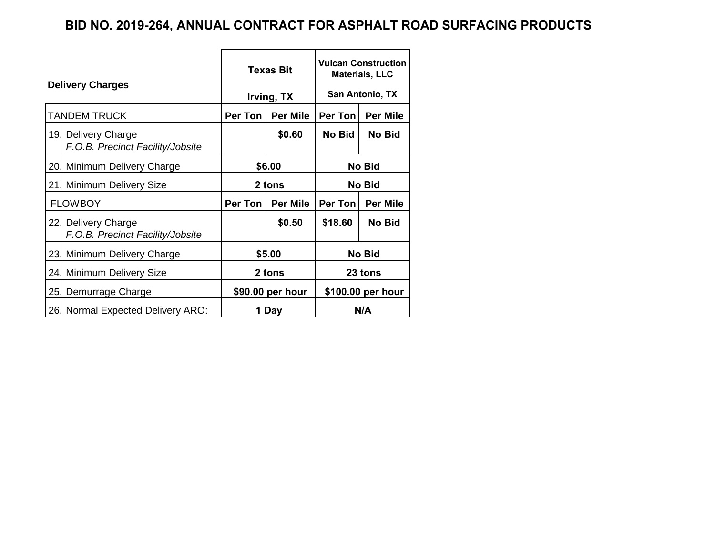| <b>Delivery Charges</b> |                                                         |                               | <b>Texas Bit</b> | <b>Vulcan Construction</b><br><b>Materials, LLC</b> |                   |  |
|-------------------------|---------------------------------------------------------|-------------------------------|------------------|-----------------------------------------------------|-------------------|--|
|                         |                                                         | San Antonio, TX<br>Irving, TX |                  |                                                     |                   |  |
|                         | <b>TANDEM TRUCK</b>                                     | Per Ton                       | <b>Per Mile</b>  | Per Ton                                             | <b>Per Mile</b>   |  |
|                         | 19. Delivery Charge<br>F.O.B. Precinct Facility/Jobsite |                               | \$0.60           | No Bid                                              | <b>No Bid</b>     |  |
|                         | 20. Minimum Delivery Charge                             |                               | \$6.00           | <b>No Bid</b>                                       |                   |  |
|                         | 21. Minimum Delivery Size                               |                               | 2 tons           |                                                     | No Bid            |  |
|                         | <b>FLOWBOY</b>                                          | Per Ton                       | <b>Per Mile</b>  | Per Ton<br><b>Per Mile</b>                          |                   |  |
|                         | 22. Delivery Charge<br>F.O.B. Precinct Facility/Jobsite |                               | \$0.50           | \$18.60                                             | No Bid            |  |
|                         | 23. Minimum Delivery Charge                             |                               | \$5.00           |                                                     | No Bid            |  |
|                         | 24. Minimum Delivery Size                               | 2 tons<br>23 tons             |                  |                                                     |                   |  |
|                         | 25. Demurrage Charge                                    |                               | \$90.00 per hour |                                                     | \$100.00 per hour |  |
|                         | 26. Normal Expected Delivery ARO:                       |                               | 1 Day            |                                                     | N/A               |  |